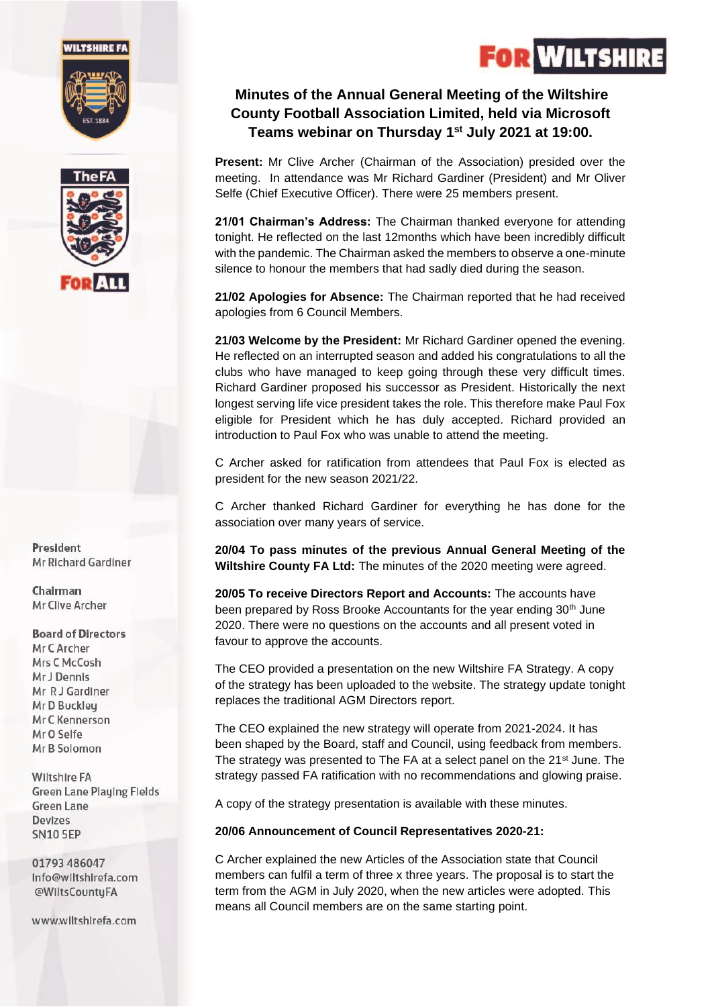#### *NILTSHIRE FA*





President Mr Richard Gardiner

Chairman Mr Clive Archer

**Board of Directors** Mr C Archer Mrs C McCosh Mr J Dennis Mr R J Gardiner Mr D Buckley Mr C Kennerson Mr O Selfe Mr B Solomon

**Wiltshire FA Green Lane Playing Fields Green Lane** Devizes **SN10 5EP** 

01793 486047 Info@wiltshirefa.com @WiltsCountyFA

www.wiltshirefa.com

### **Minutes of the Annual General Meeting of the Wiltshire County Football Association Limited, held via Microsoft Teams webinar on Thursday 1 st July 2021 at 19:00.**

**Present:** Mr Clive Archer (Chairman of the Association) presided over the meeting. In attendance was Mr Richard Gardiner (President) and Mr Oliver Selfe (Chief Executive Officer). There were 25 members present.

**21/01 Chairman's Address:** The Chairman thanked everyone for attending tonight. He reflected on the last 12months which have been incredibly difficult with the pandemic. The Chairman asked the members to observe a one-minute silence to honour the members that had sadly died during the season.

**21/02 Apologies for Absence:** The Chairman reported that he had received apologies from 6 Council Members.

**21/03 Welcome by the President:** Mr Richard Gardiner opened the evening. He reflected on an interrupted season and added his congratulations to all the clubs who have managed to keep going through these very difficult times. Richard Gardiner proposed his successor as President. Historically the next longest serving life vice president takes the role. This therefore make Paul Fox eligible for President which he has duly accepted. Richard provided an introduction to Paul Fox who was unable to attend the meeting.

C Archer asked for ratification from attendees that Paul Fox is elected as president for the new season 2021/22.

C Archer thanked Richard Gardiner for everything he has done for the association over many years of service.

**20/04 To pass minutes of the previous Annual General Meeting of the Wiltshire County FA Ltd:** The minutes of the 2020 meeting were agreed.

**20/05 To receive Directors Report and Accounts:** The accounts have been prepared by Ross Brooke Accountants for the year ending 30<sup>th</sup> June 2020. There were no questions on the accounts and all present voted in favour to approve the accounts.

The CEO provided a presentation on the new Wiltshire FA Strategy. A copy of the strategy has been uploaded to the website. The strategy update tonight replaces the traditional AGM Directors report.

The CEO explained the new strategy will operate from 2021-2024. It has been shaped by the Board, staff and Council, using feedback from members. The strategy was presented to The FA at a select panel on the 21<sup>st</sup> June. The strategy passed FA ratification with no recommendations and glowing praise.

A copy of the strategy presentation is available with these minutes.

#### **20/06 Announcement of Council Representatives 2020-21:**

C Archer explained the new Articles of the Association state that Council members can fulfil a term of three x three years. The proposal is to start the term from the AGM in July 2020, when the new articles were adopted. This means all Council members are on the same starting point.

# **FOR WILTSHIRE**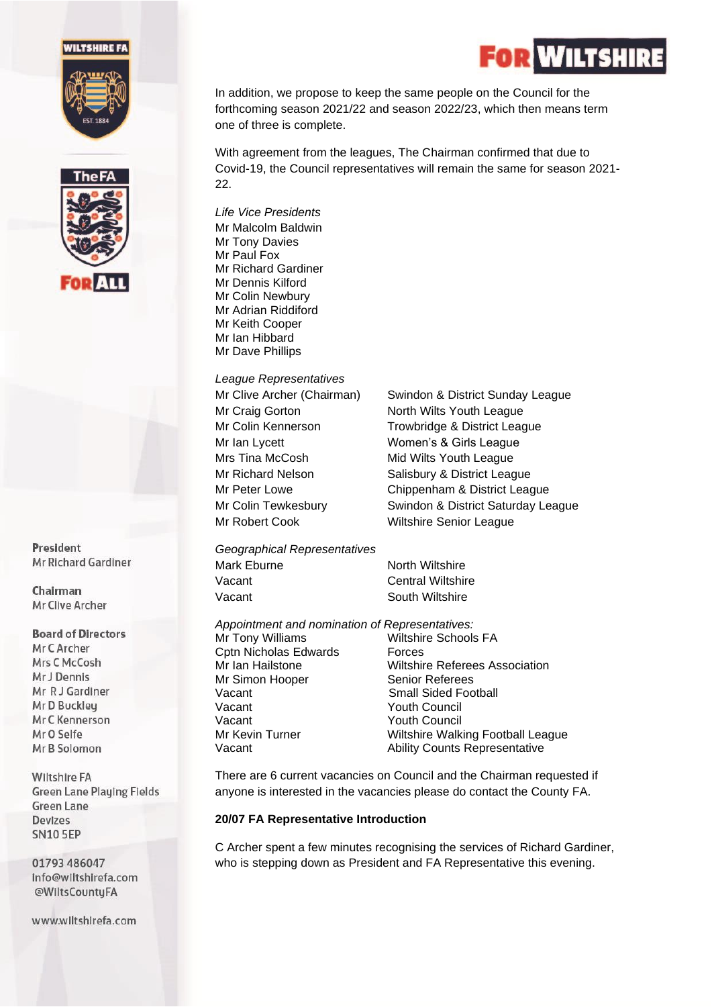#### **WILTSHIRE FA**





President Mr Richard Gardiner

Chairman Mr Clive Archer

#### **Board of Directors**

Mr C Archer Mrs C McCosh Mr J Dennis Mr R J Gardiner Mr D Buckleu Mr C Kennerson Mr O Selfe Mr B Solomon

**Wiltshire FA Green Lane Playing Fields Green Lane** Devizes **SN10 5EP** 

01793 486047 Info@wiltshirefa.com @WiltsCountyFA

www.wiltshirefa.com

In addition, we propose to keep the same people on the Council for the forthcoming season 2021/22 and season 2022/23, which then means term one of three is complete.

With agreement from the leagues, The Chairman confirmed that due to Covid-19, the Council representatives will remain the same for season 2021-  $22.$ 

*Life Vice Presidents*  Mr Malcolm Baldwin Mr Tony Davies Mr Paul Fox Mr Richard Gardiner Mr Dennis Kilford Mr Colin Newbury Mr Adrian Riddiford Mr Keith Cooper Mr Ian Hibbard Mr Dave Phillips

*League Representatives*  Mr Ian Lycett Women's & Girls League Mrs Tina McCosh Mid Wilts Youth League

Mr Clive Archer (Chairman) Swindon & District Sunday League Mr Craig Gorton North Wilts Youth League Mr Colin Kennerson Trowbridge & District League Mr Richard Nelson Salisbury & District League Mr Peter Lowe Chippenham & District League Mr Colin Tewkesbury Swindon & District Saturday League Mr Robert Cook Wiltshire Senior League

*Geographical Representatives*  Mark Eburne North Wiltshire Vacant **Central Wiltshire** Vacant **South Wiltshire** 

*Appointment and nomination of Representatives:*

Cptn Nicholas Edwards Forces Mr Simon Hooper Senior Referees Vacant Small Sided Football<br>
Vacant South Council Vacant Youth Council

Mr Tony Williams Wiltshire Schools FA Mr Ian Hailstone Wiltshire Referees Association Youth Council Mr Kevin Turner **Wiltshire Walking Football League** Vacant **Ability Counts Representative** 

There are 6 current vacancies on Council and the Chairman requested if anyone is interested in the vacancies please do contact the County FA.

#### **20/07 FA Representative Introduction**

C Archer spent a few minutes recognising the services of Richard Gardiner, who is stepping down as President and FA Representative this evening.

## **N** WILTSHIR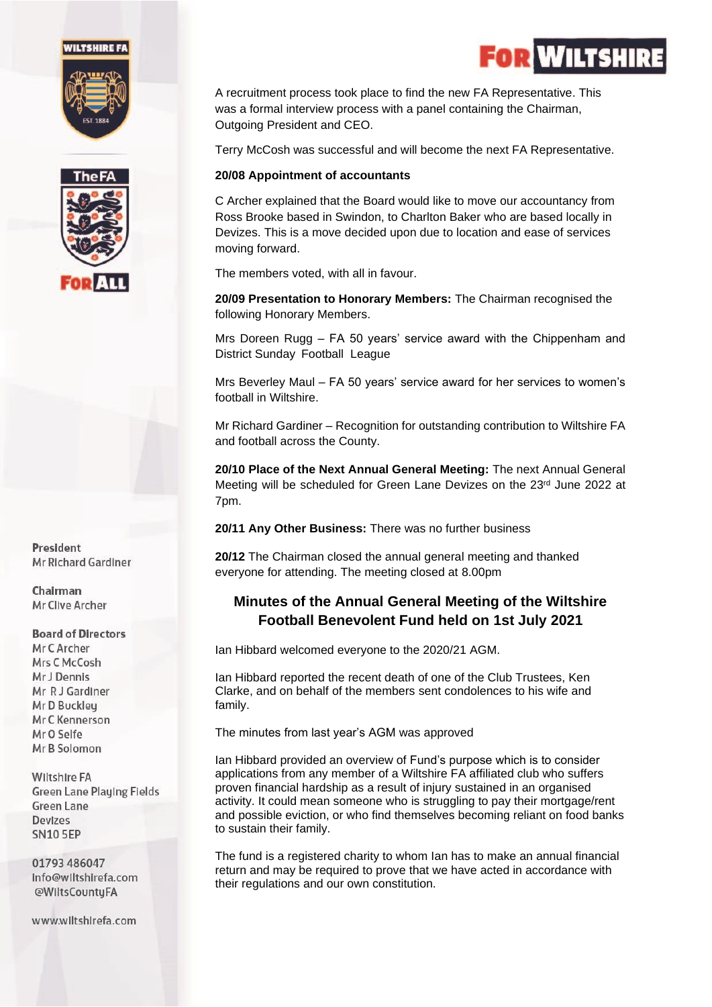#### *NILTSHIRE FA*





President Mr Richard Gardiner

Chairman Mr Clive Archer

#### **Board of Directors** Mr C Archer

Mrs C McCosh Mr J Dennis Mr R J Gardiner Mr D Buckley Mr C Kennerson Mr O Selfe Mr B Solomon

**Wiltshire FA Green Lane Playing Fields Green Lane** Devizes **SN10 5EP** 

01793 486047 Info@wiltshirefa.com @WiltsCountyFA

www.wiltshirefa.com

A recruitment process took place to find the new FA Representative. This was a formal interview process with a panel containing the Chairman, Outgoing President and CEO.

Terry McCosh was successful and will become the next FA Representative.

#### **20/08 Appointment of accountants**

C Archer explained that the Board would like to move our accountancy from Ross Brooke based in Swindon, to Charlton Baker who are based locally in Devizes. This is a move decided upon due to location and ease of services moving forward.

The members voted, with all in favour.

**20/09 Presentation to Honorary Members:** The Chairman recognised the following Honorary Members.

Mrs Doreen Rugg – FA 50 years' service award with the Chippenham and District Sunday Football League

Mrs Beverley Maul – FA 50 years' service award for her services to women's football in Wiltshire.

Mr Richard Gardiner – Recognition for outstanding contribution to Wiltshire FA and football across the County.

**20/10 Place of the Next Annual General Meeting:** The next Annual General Meeting will be scheduled for Green Lane Devizes on the 23rd June 2022 at 7pm.

**20/11 Any Other Business:** There was no further business

**20/12** The Chairman closed the annual general meeting and thanked everyone for attending. The meeting closed at 8.00pm

### **Minutes of the Annual General Meeting of the Wiltshire Football Benevolent Fund held on 1st July 2021**

Ian Hibbard welcomed everyone to the 2020/21 AGM.

Ian Hibbard reported the recent death of one of the Club Trustees, Ken Clarke, and on behalf of the members sent condolences to his wife and family.

The minutes from last year's AGM was approved

Ian Hibbard provided an overview of Fund's purpose which is to consider applications from any member of a Wiltshire FA affiliated club who suffers proven financial hardship as a result of injury sustained in an organised activity. It could mean someone who is struggling to pay their mortgage/rent and possible eviction, or who find themselves becoming reliant on food banks to sustain their family.

The fund is a registered charity to whom Ian has to make an annual financial return and may be required to prove that we have acted in accordance with their regulations and our own constitution.